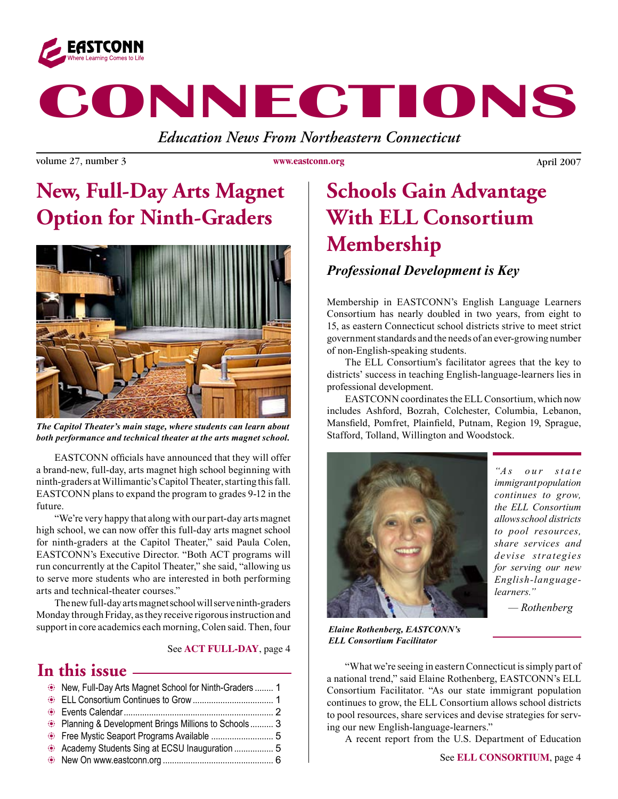

# **CONNECTIONS**

*Education News From Northeastern Connecticut*

volume 27, number 3 **b** www.exestconn.org **b** April 2007

**www.eastconn.org**

# **New, Full-Day Arts Magnet Option for Ninth-Graders**



*The Capitol Theater's main stage, where students can learn about both performance and technical theater at the arts magnet school.*

EASTCONN officials have announced that they will offer a brand-new, full-day, arts magnet high school beginning with ninth-graders at Willimantic's Capitol Theater, starting this fall. EASTCONN plans to expand the program to grades 9-12 in the future.

"We're very happy that along with our part-day arts magnet high school, we can now offer this full-day arts magnet school for ninth-graders at the Capitol Theater," said Paula Colen, EASTCONN's Executive Director. "Both ACT programs will run concurrently at the Capitol Theater," she said, "allowing us to serve more students who are interested in both performing arts and technical-theater courses."

The new full-day arts magnet school will serve ninth-graders Monday through Friday, as they receive rigorous instruction and support in core academics each morning, Colen said. Then, four

#### See **ACT FULL-DAY**, page 4

#### **In this issue**

| New, Full-Day Arts Magnet School for Ninth-Graders  1 |  |
|-------------------------------------------------------|--|
|                                                       |  |
|                                                       |  |
| • Planning & Development Brings Millions to Schools 3 |  |
|                                                       |  |
|                                                       |  |
|                                                       |  |
|                                                       |  |

# **Schools Gain Advantage With ELL Consortium Membership**

#### *Professional Development is Key*

Membership in EASTCONN's English Language Learners Consortium has nearly doubled in two years, from eight to 15, as eastern Connecticut school districts strive to meet strict government standards and the needs of an ever-growing number of non-English-speaking students.

The ELL Consortium's facilitator agrees that the key to districts' success in teaching English-language-learners lies in professional development.

EASTCONN coordinates the ELL Consortium, which now includes Ashford, Bozrah, Colchester, Columbia, Lebanon, Mansfeld, Pomfret, Plainfeld, Putnam, Region 19, Sprague, Stafford, Tolland, Willington and Woodstock.



*"As our state immigrant population continues to grow, the ELL Consortium allows school districts to pool resources, share services and devise strategies for serving our new English-languagelearners."*

 *— Rothenberg*

*Elaine Rothenberg, EASTCONN's ELL Consortium Facilitator*

"What we're seeing in eastern Connecticut is simply part of a national trend," said Elaine Rothenberg, EASTCONN's ELL Consortium Facilitator. "As our state immigrant population continues to grow, the ELL Consortium allows school districts to pool resources, share services and devise strategies for serving our new English-language-learners."

A recent report from the U.S. Department of Education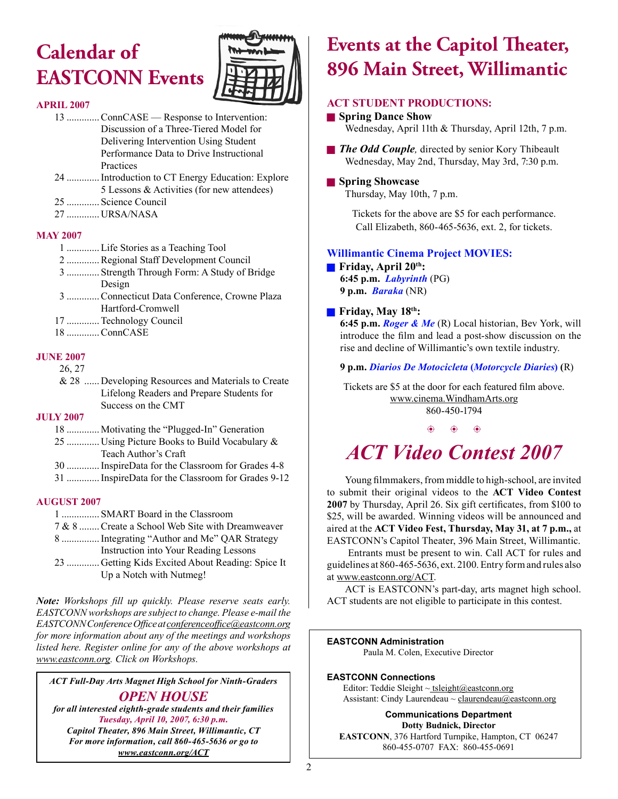# **Calendar of EASTCONN Events**



#### **APRIL 2007**

- 13 .............ConnCASE Response to Intervention: Discussion of a Three-Tiered Model for Delivering Intervention Using Student Performance Data to Drive Instructional Practices
- 24 .............Introduction to CT Energy Education: Explore 5 Lessons & Activities (for new attendees)
- 25 ............. Science Council
- 27 **IIRSA/NASA**

#### **MAY 2007**

- 1 .............Life Stories as a Teaching Tool
- 2 .............Regional Staff Development Council
- 3 ............. Strength Through Form: A Study of Bridge Design
- 3 .............Connecticut Data Conference, Crowne Plaza Hartford-Cromwell
- 17 .............Technology Council
- 18 .............ConnCASE

#### **JUNE 2007**

#### 26, 27

 & 28 ...... Developing Resources and Materials to Create Lifelong Readers and Prepare Students for Success on the CMT

#### **JULY 2007**

- 18 ............. Motivating the "Plugged-In" Generation 25 ............. Using Picture Books to Build Vocabulary & Teach Author's Craft
- 30 .............InspireData for the Classroom for Grades 4-8
- 31 .............InspireData for the Classroom for Grades 9-12

#### **AUGUST 2007**

- 1 ............... SMART Board in the Classroom
- 7 & 8 ........Create a School Web Site with Dreamweaver
- 8 ...............Integrating "Author and Me" QAR Strategy
- Instruction into Your Reading Lessons
- 23 ............. Getting Kids Excited About Reading: Spice It Up a Notch with Nutmeg!

*Note: Workshops fll up quickly. Please reserve seats early. EASTCONN workshops are subject to change. Please e-mail the EASTCONN Conference Offce at conferenceoffce@eastconn.org for more information about any of the meetings and workshops listed here. Register online for any of the above workshops at www.eastconn.org. Click on Workshops.*

*ACT Full-Day Arts Magnet High School for Ninth-Graders OPEN HOUSE*

*for all interested eighth-grade students and their families Tuesday, April 10, 2007, 6:30 p.m.*

*Capitol Theater, 896 Main Street, Willimantic, CT For more information, call 860-465-5636 or go to www.eastconn.org/ACT*

### **Events at the Capitol Theater, 896 Main Street, Willimantic**

#### **ACT STUDENT PRODUCTIONS:**

#### **g** Spring Dance Show Wednesday, April 11th & Thursday, April 12th, 7 p.m.

**The Odd Couple**, directed by senior Kory Thibeault Wednesday, May 2nd, Thursday, May 3rd, 7:30 p.m.

#### **g** Spring Showcase

Thursday, May 10th, 7 p.m.

Tickets for the above are \$5 for each performance. Call Elizabeth, 860-465-5636, ext. 2, for tickets.

#### **Willimantic Cinema Project MOVIES:**

**Friday, April 20th:** 

**6:45 p.m.** *Labyrinth* (PG) **9 p.m.** *Baraka* (NR)

#### **Fiday, May 18th:**

**6:45 p.m.** *Roger & Me* (R) Local historian, Bev York, will introduce the flm and lead a post-show discussion on the rise and decline of Willimantic's own textile industry.

**9 p.m.** *Diarios De Motocicleta* **(***Motorcycle Diaries***) (**R)

Tickets are \$5 at the door for each featured flm above. www.cinema.WindhamArts.org 860-450-1794

#### $\circledast$   $\circledast$   $\circledast$

# *ACT Video Contest 2007*

Young flmmakers, from middle to high-school, are invited to submit their original videos to the **ACT Video Contest 2007** by Thursday, April 26. Six gift certifcates, from \$100 to \$25, will be awarded. Winning videos will be announced and aired at the **ACT Video Fest, Thursday, May 31, at 7 p.m.,** at EASTCONN's Capitol Theater, 396 Main Street, Willimantic.

 Entrants must be present to win. Call ACT for rules and guidelines at 860-465-5636, ext. 2100. Entry form and rules also at www.eastconn.org/ACT.

ACT is EASTCONN's part-day, arts magnet high school. ACT students are not eligible to participate in this contest.

#### **EASTCONN Administration**

Paula M. Colen, Executive Director

#### **EASTCONN Connections**

Editor: Teddie Sleight  $\sim$  tsleight@eastconn.org Assistant: Cindy Laurendeau ~ claurendeau@eastconn.org

**Communications Department Dotty Budnick, Director EASTCONN**, 376 Hartford Turnpike, Hampton, CT 06247 860-455-0707 FAX: 860-455-0691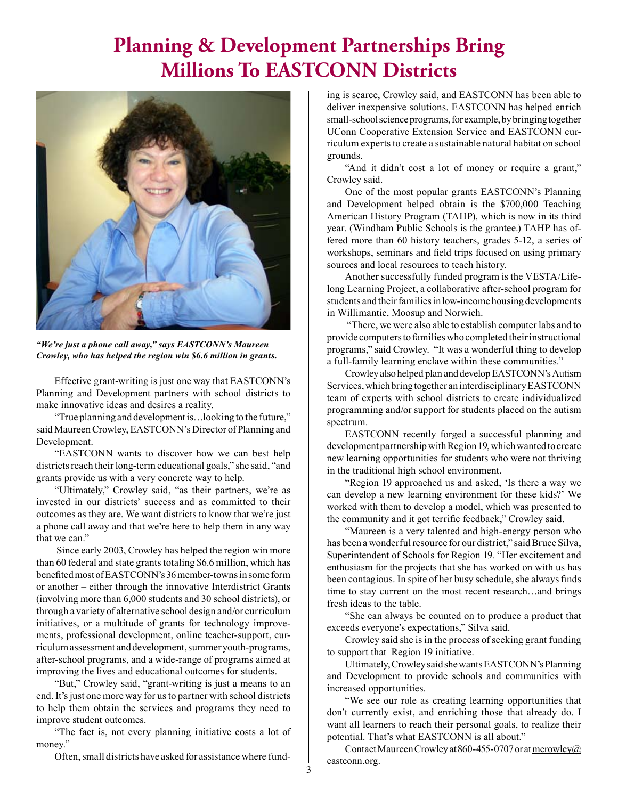## **Planning & Development Partnerships Bring Millions To EASTCONN Districts**



*"We're just a phone call away," says EASTCONN's Maureen Crowley, who has helped the region win \$6.6 million in grants.*

Effective grant-writing is just one way that EASTCONN's Planning and Development partners with school districts to make innovative ideas and desires a reality.

"True planning and development is…looking to the future," said Maureen Crowley, EASTCONN's Director of Planning and Development.

"EASTCONN wants to discover how we can best help districts reach their long-term educational goals," she said, "and grants provide us with a very concrete way to help.

"Ultimately," Crowley said, "as their partners, we're as invested in our districts' success and as committed to their outcomes as they are. We want districts to know that we're just a phone call away and that we're here to help them in any way that we can."

 Since early 2003, Crowley has helped the region win more than 60 federal and state grants totaling \$6.6 million, which has benefted most of EASTCONN's 36 member-towns in some form or another – either through the innovative Interdistrict Grants (involving more than 6,000 students and 30 school districts), or through a variety of alternative school design and/or curriculum initiatives, or a multitude of grants for technology improvements, professional development, online teacher-support, curriculum assessment and development, summer youth-programs, after-school programs, and a wide-range of programs aimed at improving the lives and educational outcomes for students.

"But," Crowley said, "grant-writing is just a means to an end. It's just one more way for us to partner with school districts to help them obtain the services and programs they need to improve student outcomes.

"The fact is, not every planning initiative costs a lot of money."

Often, small districts have asked for assistance where fund-

ing is scarce, Crowley said, and EASTCONN has been able to deliver inexpensive solutions. EASTCONN has helped enrich small-school science programs, for example, by bringing together UConn Cooperative Extension Service and EASTCONN curriculum experts to create a sustainable natural habitat on school grounds.

"And it didn't cost a lot of money or require a grant," Crowley said.

One of the most popular grants EASTCONN's Planning and Development helped obtain is the \$700,000 Teaching American History Program (TAHP), which is now in its third year. (Windham Public Schools is the grantee.) TAHP has offered more than 60 history teachers, grades 5-12, a series of workshops, seminars and feld trips focused on using primary sources and local resources to teach history.

Another successfully funded program is the VESTA/Lifelong Learning Project, a collaborative after-school program for students and their families in low-income housing developments in Willimantic, Moosup and Norwich.

 "There, we were also able to establish computer labs and to provide computers to families who completed their instructional programs," said Crowley. "It was a wonderful thing to develop a full-family learning enclave within these communities."

Crowley also helped plan and develop EASTCONN's Autism Services, which bring together an interdisciplinary EASTCONN team of experts with school districts to create individualized programming and/or support for students placed on the autism spectrum.

EASTCONN recently forged a successful planning and development partnership with Region 19, which wanted to create new learning opportunities for students who were not thriving in the traditional high school environment.

"Region 19 approached us and asked, 'Is there a way we can develop a new learning environment for these kids?' We worked with them to develop a model, which was presented to the community and it got terrifc feedback," Crowley said.

"Maureen is a very talented and high-energy person who has been a wonderful resource for our district," said Bruce Silva, Superintendent of Schools for Region 19. "Her excitement and enthusiasm for the projects that she has worked on with us has been contagious. In spite of her busy schedule, she always fnds time to stay current on the most recent research…and brings fresh ideas to the table.

"She can always be counted on to produce a product that exceeds everyone's expectations," Silva said.

Crowley said she is in the process of seeking grant funding to support that Region 19 initiative.

Ultimately, Crowley said she wants EASTCONN's Planning and Development to provide schools and communities with increased opportunities.

"We see our role as creating learning opportunities that don't currently exist, and enriching those that already do. I want all learners to reach their personal goals, to realize their potential. That's what EASTCONN is all about."

Contact Maureen Crowley at 860-455-0707 or at  $\frac{m}{2}$ eastconn.org.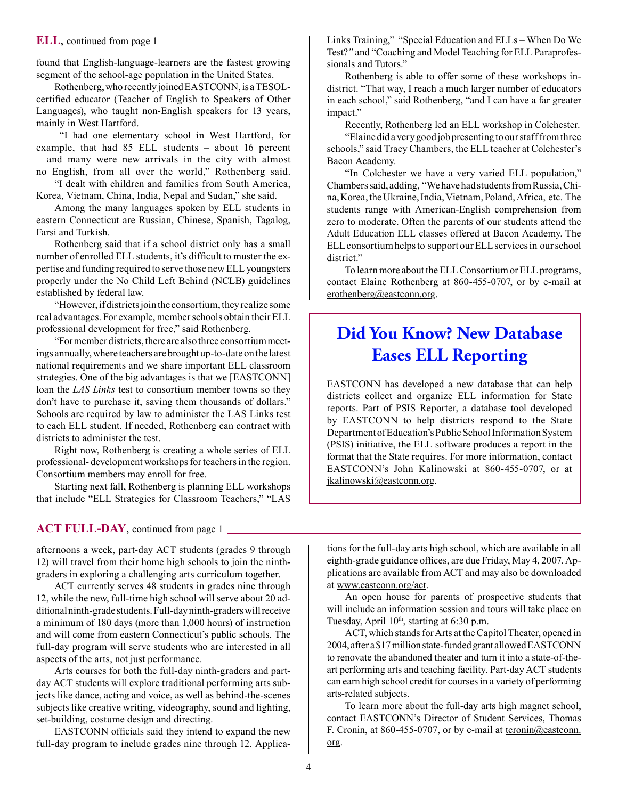#### **ELL**, continued from page 1

found that English-language-learners are the fastest growing segment of the school-age population in the United States.

Rothenberg, who recently joined EASTCONN, is a TESOLcertifed educator (Teacher of English to Speakers of Other Languages), who taught non-English speakers for 13 years, mainly in West Hartford.

 "I had one elementary school in West Hartford, for example, that had 85 ELL students – about 16 percent – and many were new arrivals in the city with almost no English, from all over the world," Rothenberg said.

"I dealt with children and families from South America, Korea, Vietnam, China, India, Nepal and Sudan," she said.

Among the many languages spoken by ELL students in eastern Connecticut are Russian, Chinese, Spanish, Tagalog, Farsi and Turkish.

Rothenberg said that if a school district only has a small number of enrolled ELL students, it's difficult to muster the expertise and funding required to serve those new ELL youngsters properly under the No Child Left Behind (NCLB) guidelines established by federal law.

"However, if districts join the consortium, they realize some real advantages. For example, member schools obtain their ELL professional development for free," said Rothenberg.

"For member districts, there are also three consortium meetings annually, where teachers are brought up-to-date on the latest national requirements and we share important ELL classroom strategies. One of the big advantages is that we [EASTCONN] loan the *LAS Links* test to consortium member towns so they don't have to purchase it, saving them thousands of dollars." Schools are required by law to administer the LAS Links test to each ELL student. If needed, Rothenberg can contract with districts to administer the test.

Right now, Rothenberg is creating a whole series of ELL professional- development workshops for teachers in the region. Consortium members may enroll for free.

Starting next fall, Rothenberg is planning ELL workshops that include "ELL Strategies for Classroom Teachers," "LAS

#### **ACT FULL-DAY**, continued from page 1

afternoons a week, part-day ACT students (grades 9 through 12) will travel from their home high schools to join the ninthgraders in exploring a challenging arts curriculum together.

ACT currently serves 48 students in grades nine through 12, while the new, full-time high school will serve about 20 additional ninth-grade students. Full-day ninth-graders will receive a minimum of 180 days (more than 1,000 hours) of instruction and will come from eastern Connecticut's public schools. The full-day program will serve students who are interested in all aspects of the arts, not just performance.

Arts courses for both the full-day ninth-graders and partday ACT students will explore traditional performing arts subjects like dance, acting and voice, as well as behind-the-scenes subjects like creative writing, videography, sound and lighting, set-building, costume design and directing.

EASTCONN officials said they intend to expand the new full-day program to include grades nine through 12. ApplicaLinks Training," "Special Education and ELLs – When Do We Test?*"* and "Coaching and Model Teaching for ELL Paraprofessionals and Tutors."

Rothenberg is able to offer some of these workshops indistrict. "That way, I reach a much larger number of educators in each school," said Rothenberg, "and I can have a far greater impact."

Recently, Rothenberg led an ELL workshop in Colchester.

"Elaine did a very good job presenting to our staff from three schools," said Tracy Chambers, the ELL teacher at Colchester's Bacon Academy.

"In Colchester we have a very varied ELL population," Chambers said, adding, "We have had students from Russia, China, Korea, the Ukraine, India, Vietnam, Poland, Africa, etc. The students range with American-English comprehension from zero to moderate. Often the parents of our students attend the Adult Education ELL classes offered at Bacon Academy. The ELL consortium helps to support our ELL services in our school district."

To learn more about the ELL Consortium or ELL programs, contact Elaine Rothenberg at 860-455-0707, or by e-mail at erothenberg@eastconn.org.

### **Did You Know? New Database Eases ELL Reporting**

EASTCONN has developed a new database that can help districts collect and organize ELL information for State reports. Part of PSIS Reporter, a database tool developed by EASTCONN to help districts respond to the State Department of Education's Public School Information System (PSIS) initiative, the ELL software produces a report in the format that the State requires. For more information, contact EASTCONN's John Kalinowski at 860-455-0707, or at jkalinowski@eastconn.org.

tions for the full-day arts high school, which are available in all eighth-grade guidance offices, are due Friday, May 4, 2007. Applications are available from ACT and may also be downloaded at www.eastconn.org/act.

An open house for parents of prospective students that will include an information session and tours will take place on Tuesday, April 10<sup>th</sup>, starting at 6:30 p.m.

ACT, which stands for Arts at the Capitol Theater, opened in 2004, after a \$17 million state-funded grant allowed EASTCONN to renovate the abandoned theater and turn it into a state-of-theart performing arts and teaching facility. Part-day ACT students can earn high school credit for courses in a variety of performing arts-related subjects.

To learn more about the full-day arts high magnet school, contact EASTCONN's Director of Student Services, Thomas F. Cronin, at 860-455-0707, or by e-mail at  $\underline{t}$  termin@eastconn. org.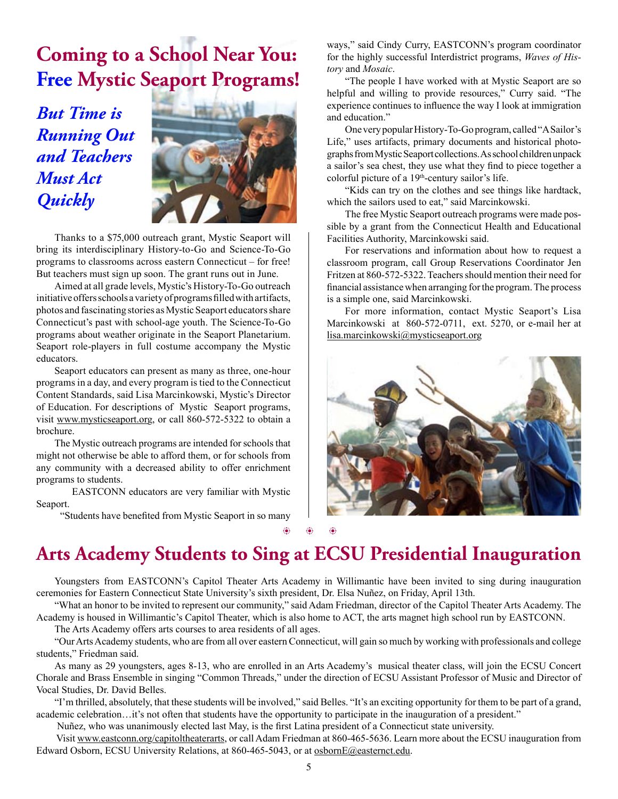# **Coming to a School Near You: Free Mystic Seaport Programs!**

*But Time is Running Out and Teachers Must Act Quickly*



Thanks to a \$75,000 outreach grant, Mystic Seaport will bring its interdisciplinary History-to-Go and Science-To-Go programs to classrooms across eastern Connecticut – for free! But teachers must sign up soon. The grant runs out in June.

Aimed at all grade levels, Mystic's History-To-Go outreach initiative offers schools a variety of programs flled with artifacts, photos and fascinating stories as Mystic Seaport educators share Connecticut's past with school-age youth. The Science-To-Go programs about weather originate in the Seaport Planetarium. Seaport role-players in full costume accompany the Mystic educators.

Seaport educators can present as many as three, one-hour programs in a day, and every program is tied to the Connecticut Content Standards, said Lisa Marcinkowski, Mystic's Director of Education. For descriptions of Mystic Seaport programs, visit www.mysticseaport.org, or call 860-572-5322 to obtain a brochure.

The Mystic outreach programs are intended for schools that might not otherwise be able to afford them, or for schools from any community with a decreased ability to offer enrichment programs to students.

 EASTCONN educators are very familiar with Mystic Seaport.

"Students have benefted from Mystic Seaport in so many

ways," said Cindy Curry, EASTCONN's program coordinator for the highly successful Interdistrict programs, *Waves of History* and *Mosaic*.

"The people I have worked with at Mystic Seaport are so helpful and willing to provide resources," Curry said. "The experience continues to infuence the way I look at immigration and education."

One very popular History-To-Go program, called "A Sailor's Life," uses artifacts, primary documents and historical photographs from Mystic Seaport collections. As school children unpack a sailor's sea chest, they use what they fnd to piece together a colorful picture of a 19<sup>th</sup>-century sailor's life.

"Kids can try on the clothes and see things like hardtack, which the sailors used to eat," said Marcinkowski.

The free Mystic Seaport outreach programs were made possible by a grant from the Connecticut Health and Educational Facilities Authority, Marcinkowski said.

For reservations and information about how to request a classroom program, call Group Reservations Coordinator Jen Fritzen at 860-572-5322. Teachers should mention their need for fnancial assistance when arranging for the program. The process is a simple one, said Marcinkowski.

For more information, contact Mystic Seaport's Lisa Marcinkowski at 860-572-0711, ext. 5270, or e-mail her at lisa.marcinkowski@mysticseaport.org



 $\circledast$   $\circledast$   $\circledast$ 

### **Arts Academy Students to Sing at ECSU Presidential Inauguration**

Youngsters from EASTCONN's Capitol Theater Arts Academy in Willimantic have been invited to sing during inauguration ceremonies for Eastern Connecticut State University's sixth president, Dr. Elsa Nuñez, on Friday, April 13th.

"What an honor to be invited to represent our community," said Adam Friedman, director of the Capitol Theater Arts Academy. The Academy is housed in Willimantic's Capitol Theater, which is also home to ACT, the arts magnet high school run by EASTCONN.

The Arts Academy offers arts courses to area residents of all ages.

"Our Arts Academy students, who are from all over eastern Connecticut, will gain so much by working with professionals and college students," Friedman said.

As many as 29 youngsters, ages 8-13, who are enrolled in an Arts Academy's musical theater class, will join the ECSU Concert Chorale and Brass Ensemble in singing "Common Threads," under the direction of ECSU Assistant Professor of Music and Director of Vocal Studies, Dr. David Belles.

"I'm thrilled, absolutely, that these students will be involved," said Belles. "It's an exciting opportunity for them to be part of a grand, academic celebration…it's not often that students have the opportunity to participate in the inauguration of a president."

Nuñez, who was unanimously elected last May, is the frst Latina president of a Connecticut state university.

 Visit www.eastconn.org/capitoltheaterarts, or call Adam Friedman at 860-465-5636. Learn more about the ECSU inauguration from Edward Osborn, ECSU University Relations, at 860-465-5043, or at osbornE@easternct.edu.